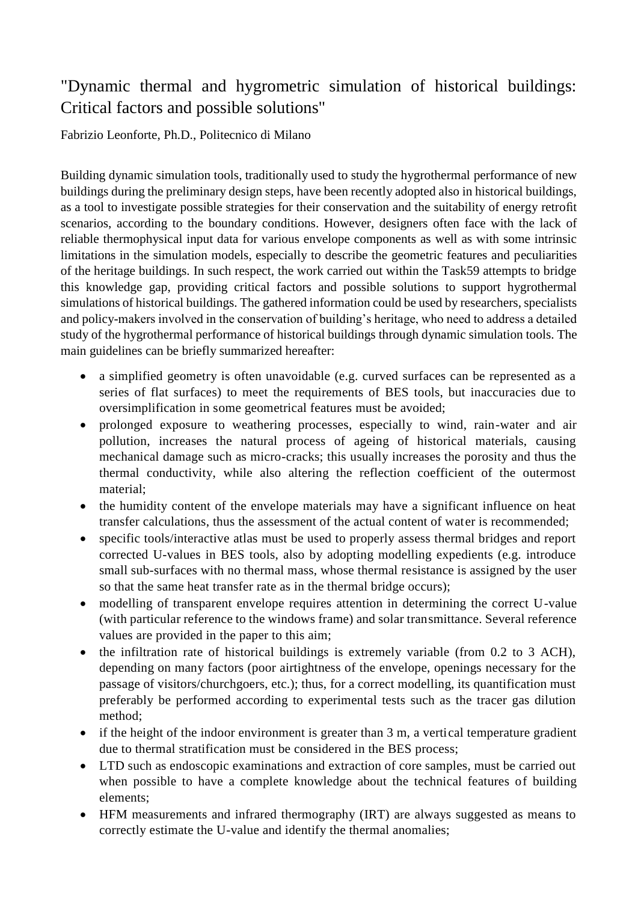## "Dynamic thermal and hygrometric simulation of historical buildings: Critical factors and possible solutions"

Fabrizio Leonforte, Ph.D., Politecnico di Milano

Building dynamic simulation tools, traditionally used to study the hygrothermal performance of new buildings during the preliminary design steps, have been recently adopted also in historical buildings, as a tool to investigate possible strategies for their conservation and the suitability of energy retrofit scenarios, according to the boundary conditions. However, designers often face with the lack of reliable thermophysical input data for various envelope components as well as with some intrinsic limitations in the simulation models, especially to describe the geometric features and peculiarities of the heritage buildings. In such respect, the work carried out within the Task59 attempts to bridge this knowledge gap, providing critical factors and possible solutions to support hygrothermal simulations of historical buildings. The gathered information could be used by researchers, specialists and policy-makers involved in the conservation of building's heritage, who need to address a detailed study of the hygrothermal performance of historical buildings through dynamic simulation tools. The main guidelines can be briefly summarized hereafter:

- a simplified geometry is often unavoidable (e.g. curved surfaces can be represented as a series of flat surfaces) to meet the requirements of BES tools, but inaccuracies due to oversimplification in some geometrical features must be avoided;
- prolonged exposure to weathering processes, especially to wind, rain-water and air pollution, increases the natural process of ageing of historical materials, causing mechanical damage such as micro-cracks; this usually increases the porosity and thus the thermal conductivity, while also altering the reflection coefficient of the outermost material;
- the humidity content of the envelope materials may have a significant influence on heat transfer calculations, thus the assessment of the actual content of water is recommended;
- specific tools/interactive atlas must be used to properly assess thermal bridges and report corrected U-values in BES tools, also by adopting modelling expedients (e.g. introduce small sub-surfaces with no thermal mass, whose thermal resistance is assigned by the user so that the same heat transfer rate as in the thermal bridge occurs);
- modelling of transparent envelope requires attention in determining the correct U-value (with particular reference to the windows frame) and solar transmittance. Several reference values are provided in the paper to this aim;
- the infiltration rate of historical buildings is extremely variable (from 0.2 to 3 ACH), depending on many factors (poor airtightness of the envelope, openings necessary for the passage of visitors/churchgoers, etc.); thus, for a correct modelling, its quantification must preferably be performed according to experimental tests such as the tracer gas dilution method;
- if the height of the indoor environment is greater than 3 m, a vertical temperature gradient due to thermal stratification must be considered in the BES process;
- LTD such as endoscopic examinations and extraction of core samples, must be carried out when possible to have a complete knowledge about the technical features of building elements;
- HFM measurements and infrared thermography (IRT) are always suggested as means to correctly estimate the U-value and identify the thermal anomalies;